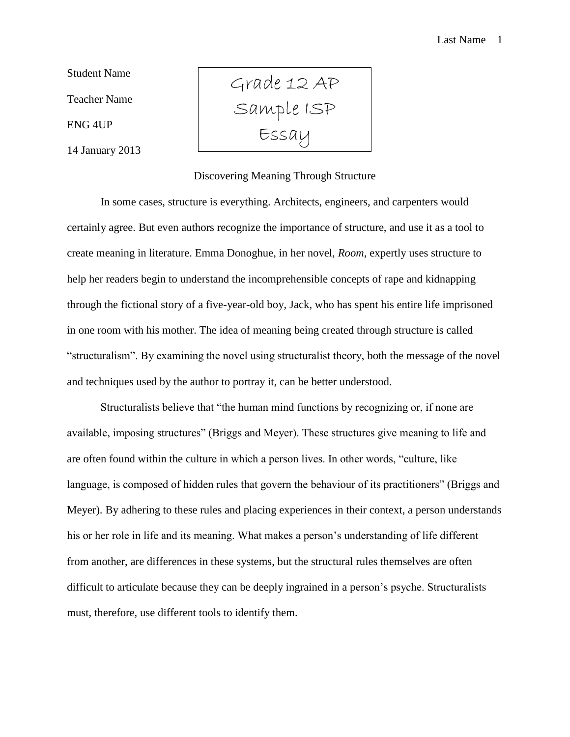Student Name Teacher Name ENG 4UP

14 January 2013

Grade 12 AP Sample ISP Essay

## Discovering Meaning Through Structure

In some cases, structure is everything. Architects, engineers, and carpenters would certainly agree. But even authors recognize the importance of structure, and use it as a tool to create meaning in literature. Emma Donoghue, in her novel, *Room*, expertly uses structure to help her readers begin to understand the incomprehensible concepts of rape and kidnapping through the fictional story of a five-year-old boy, Jack, who has spent his entire life imprisoned in one room with his mother. The idea of meaning being created through structure is called "structuralism". By examining the novel using structuralist theory, both the message of the novel and techniques used by the author to portray it, can be better understood.

Structuralists believe that "the human mind functions by recognizing or, if none are available, imposing structures" (Briggs and Meyer). These structures give meaning to life and are often found within the culture in which a person lives. In other words, "culture, like language, is composed of hidden rules that govern the behaviour of its practitioners" (Briggs and Meyer). By adhering to these rules and placing experiences in their context, a person understands his or her role in life and its meaning. What makes a person's understanding of life different from another, are differences in these systems, but the structural rules themselves are often difficult to articulate because they can be deeply ingrained in a person's psyche. Structuralists must, therefore, use different tools to identify them.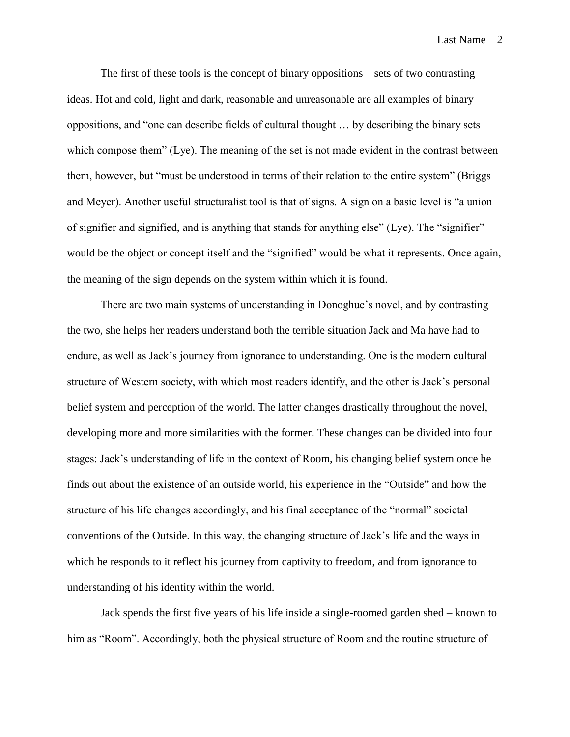Last Name 2

The first of these tools is the concept of binary oppositions – sets of two contrasting ideas. Hot and cold, light and dark, reasonable and unreasonable are all examples of binary oppositions, and "one can describe fields of cultural thought … by describing the binary sets which compose them" (Lye). The meaning of the set is not made evident in the contrast between them, however, but "must be understood in terms of their relation to the entire system" (Briggs and Meyer). Another useful structuralist tool is that of signs. A sign on a basic level is "a union of signifier and signified, and is anything that stands for anything else" (Lye). The "signifier" would be the object or concept itself and the "signified" would be what it represents. Once again, the meaning of the sign depends on the system within which it is found.

There are two main systems of understanding in Donoghue's novel, and by contrasting the two, she helps her readers understand both the terrible situation Jack and Ma have had to endure, as well as Jack's journey from ignorance to understanding. One is the modern cultural structure of Western society, with which most readers identify, and the other is Jack's personal belief system and perception of the world. The latter changes drastically throughout the novel, developing more and more similarities with the former. These changes can be divided into four stages: Jack's understanding of life in the context of Room, his changing belief system once he finds out about the existence of an outside world, his experience in the "Outside" and how the structure of his life changes accordingly, and his final acceptance of the "normal" societal conventions of the Outside. In this way, the changing structure of Jack's life and the ways in which he responds to it reflect his journey from captivity to freedom, and from ignorance to understanding of his identity within the world.

Jack spends the first five years of his life inside a single-roomed garden shed – known to him as "Room". Accordingly, both the physical structure of Room and the routine structure of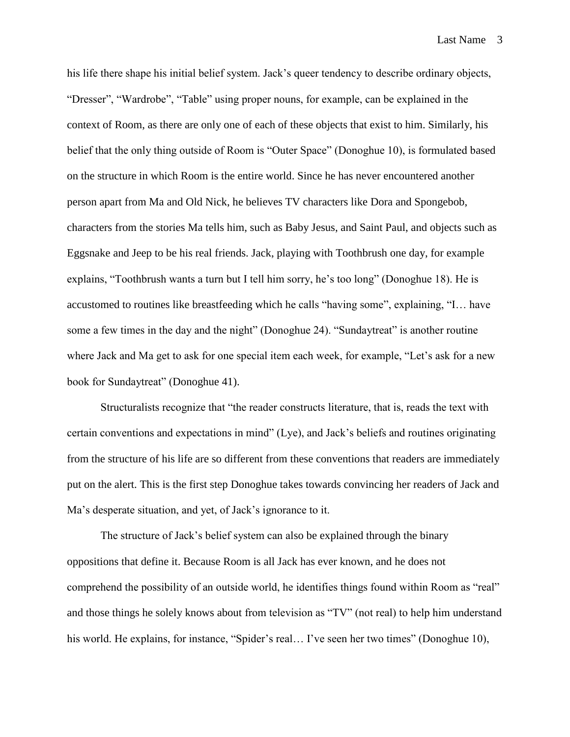his life there shape his initial belief system. Jack's queer tendency to describe ordinary objects, "Dresser", "Wardrobe", "Table" using proper nouns, for example, can be explained in the context of Room, as there are only one of each of these objects that exist to him. Similarly, his belief that the only thing outside of Room is "Outer Space" (Donoghue 10), is formulated based on the structure in which Room is the entire world. Since he has never encountered another person apart from Ma and Old Nick, he believes TV characters like Dora and Spongebob, characters from the stories Ma tells him, such as Baby Jesus, and Saint Paul, and objects such as Eggsnake and Jeep to be his real friends. Jack, playing with Toothbrush one day, for example explains, "Toothbrush wants a turn but I tell him sorry, he's too long" (Donoghue 18). He is accustomed to routines like breastfeeding which he calls "having some", explaining, "I… have some a few times in the day and the night" (Donoghue 24). "Sundaytreat" is another routine where Jack and Ma get to ask for one special item each week, for example, "Let's ask for a new book for Sundaytreat" (Donoghue 41).

Structuralists recognize that "the reader constructs literature, that is, reads the text with certain conventions and expectations in mind" (Lye), and Jack's beliefs and routines originating from the structure of his life are so different from these conventions that readers are immediately put on the alert. This is the first step Donoghue takes towards convincing her readers of Jack and Ma's desperate situation, and yet, of Jack's ignorance to it.

The structure of Jack's belief system can also be explained through the binary oppositions that define it. Because Room is all Jack has ever known, and he does not comprehend the possibility of an outside world, he identifies things found within Room as "real" and those things he solely knows about from television as "TV" (not real) to help him understand his world. He explains, for instance, "Spider's real... I've seen her two times" (Donoghue 10),